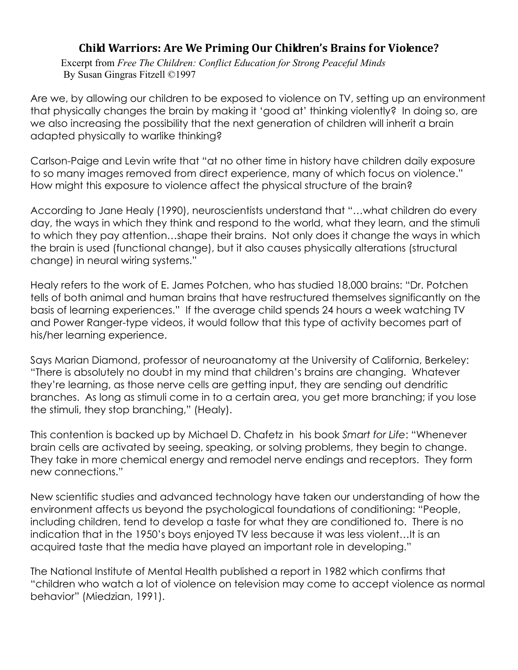# **Child** Warriors: Are We Priming Our Children's Brains for Violence?

Excerpt from *Free The Children: Conflict Education for Strong Peaceful Minds*  By Susan Gingras Fitzell ©1997

Are we, by allowing our children to be exposed to violence on TV, setting up an environment that physically changes the brain by making it 'good at' thinking violently? In doing so, are we also increasing the possibility that the next generation of children will inherit a brain adapted physically to warlike thinking?

Carlson-Paige and Levin write that "at no other time in history have children daily exposure to so many images removed from direct experience, many of which focus on violence." How might this exposure to violence affect the physical structure of the brain?

According to Jane Healy (1990), neuroscientists understand that "…what children do every day, the ways in which they think and respond to the world, what they learn, and the stimuli to which they pay attention…shape their brains. Not only does it change the ways in which the brain is used (functional change), but it also causes physically alterations (structural change) in neural wiring systems."

Healy refers to the work of E. James Potchen, who has studied 18,000 brains: "Dr. Potchen tells of both animal and human brains that have restructured themselves significantly on the basis of learning experiences." If the average child spends 24 hours a week watching TV and Power Ranger-type videos, it would follow that this type of activity becomes part of his/her learning experience.

Says Marian Diamond, professor of neuroanatomy at the University of California, Berkeley: "There is absolutely no doubt in my mind that children's brains are changing. Whatever they're learning, as those nerve cells are getting input, they are sending out dendritic branches. As long as stimuli come in to a certain area, you get more branching; if you lose the stimuli, they stop branching," (Healy).

This contention is backed up by Michael D. Chafetz in his book *Smart for Life*: "Whenever brain cells are activated by seeing, speaking, or solving problems, they begin to change. They take in more chemical energy and remodel nerve endings and receptors. They form new connections."

New scientific studies and advanced technology have taken our understanding of how the environment affects us beyond the psychological foundations of conditioning: "People, including children, tend to develop a taste for what they are conditioned to. There is no indication that in the 1950's boys enjoyed TV less because it was less violent…It is an acquired taste that the media have played an important role in developing."

The National Institute of Mental Health published a report in 1982 which confirms that "children who watch a lot of violence on television may come to accept violence as normal behavior" (Miedzian, 1991).